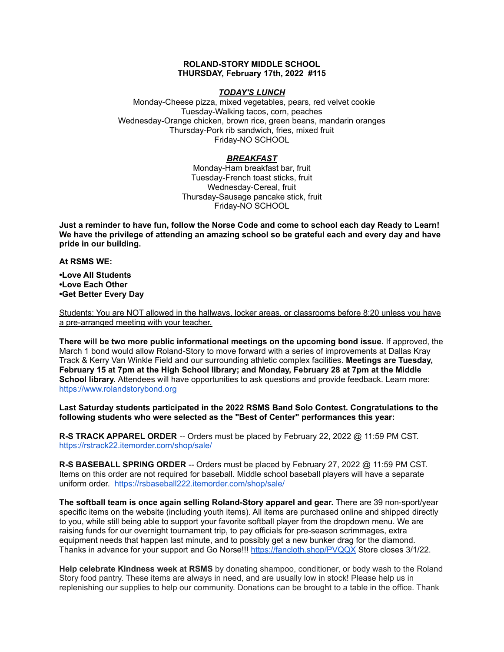### **ROLAND-STORY MIDDLE SCHOOL THURSDAY, February 17th, 2022 #115**

### *TODAY'S LUNCH*

Monday-Cheese pizza, mixed vegetables, pears, red velvet cookie Tuesday-Walking tacos, corn, peaches Wednesday-Orange chicken, brown rice, green beans, mandarin oranges Thursday-Pork rib sandwich, fries, mixed fruit Friday-NO SCHOOL

# *BREAKFAST*

Monday-Ham breakfast bar, fruit Tuesday-French toast sticks, fruit Wednesday-Cereal, fruit Thursday-Sausage pancake stick, fruit Friday-NO SCHOOL

Just a reminder to have fun, follow the Norse Code and come to school each day Ready to Learn! **We have the privilege of attending an amazing school so be grateful each and every day and have pride in our building.**

**At RSMS WE:**

**•Love All Students •Love Each Other •Get Better Every Day**

Students: You are NOT allowed in the hallways, locker areas, or classrooms before 8:20 unless you have a pre-arranged meeting with your teacher.

**There will be two more public informational meetings on the upcoming bond issue.** If approved, the March 1 bond would allow Roland-Story to move forward with a series of improvements at Dallas Kray Track & Kerry Van Winkle Field and our surrounding athletic complex facilities. **Meetings are Tuesday, February 15 at 7pm at the High School library; and Monday, February 28 at 7pm at the Middle School library.** Attendees will have opportunities to ask questions and provide feedback. Learn more[:](https://www.rolandstorybond.org/?fbclid=IwAR3AJHhy8S8KvQsof-Z44UTrIBXDkOZFSdMyUXMovrg0bH3FkvkTprNkFuM) [https://www.rolandstorybond.org](https://www.rolandstorybond.org/?fbclid=IwAR3AJHhy8S8KvQsof-Z44UTrIBXDkOZFSdMyUXMovrg0bH3FkvkTprNkFuM)

**Last Saturday students participated in the 2022 RSMS Band Solo Contest. Congratulations to the following students who were selected as the "Best of Center" performances this year:**

**R-S TRACK APPAREL ORDER** -- Orders must be placed by February 22, 2022 @ 11:59 PM CST. [https://rstrack22.itemorder.com/shop/sale/](https://rstrack22.itemorder.com/shop/sale/?fbclid=IwAR3_aJcnFS4-T8DvGJgqUhJHdCbzFBykTmoA4KIdedezfx-oH4WsaixvcOw)

**R-S BASEBALL SPRING ORDER** -- Orders must be placed by February 27, 2022 @ 11:59 PM CST. Items on this order are not required for baseball. Middle school baseball players will have a separate uniform order. [https://rsbaseball222.itemorder.com/shop/sale/](https://rsbaseball222.itemorder.com/shop/sale/?fbclid=IwAR3WcViWXzf68ou_l8uvs5OLDLG0OdEOthvolsBQsnAZHaEWjSG5OjbhhEE)

**The softball team is once again selling Roland-Story apparel and gear.** There are 39 non-sport/year specific items on the website (including youth items). All items are purchased online and shipped directly to you, while still being able to support your favorite softball player from the dropdown menu. We are raising funds for our overnight tournament trip, to pay officials for pre-season scrimmages, extra equipment needs that happen last minute, and to possibly get a new bunker drag for the diamond. Thanks in advance for your support and Go Norse!!! <https://fancloth.shop/PVQQX> Store closes 3/1/22.

**Help celebrate Kindness week at RSMS** by donating shampoo, conditioner, or body wash to the Roland Story food pantry. These items are always in need, and are usually low in stock! Please help us in replenishing our supplies to help our community. Donations can be brought to a table in the office. Thank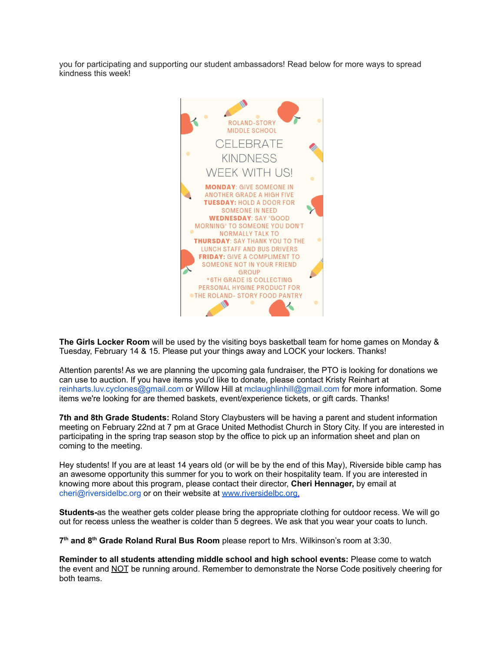you for participating and supporting our student ambassadors! Read below for more ways to spread kindness this week!



**The Girls Locker Room** will be used by the visiting boys basketball team for home games on Monday & Tuesday, February 14 & 15. Please put your things away and LOCK your lockers. Thanks!

Attention parents! As we are planning the upcoming gala fundraiser, the PTO is looking for donations we can use to auction. If you have items you'd like to donate, please contact Kristy Reinhart at reinharts.luv.cyclones@gmail.com or Willow Hill at mclaughlinhill@gmail.com for more information. Some items we're looking for are themed baskets, event/experience tickets, or gift cards. Thanks!

**7th and 8th Grade Students:** Roland Story Claybusters will be having a parent and student information meeting on February 22nd at 7 pm at Grace United Methodist Church in Story City. If you are interested in participating in the spring trap season stop by the office to pick up an information sheet and plan on coming to the meeting.

Hey students! If you are at least 14 years old (or will be by the end of this May), Riverside bible camp has an awesome opportunity this summer for you to work on their hospitality team. If you are interested in knowing more about this program, please contact their director, **Cheri Hennager,** by email at cheri@riversidelbc.org or on their website at [www.riversidelbc.org.](http://www.riversidelbc.org/)

**Students-**as the weather gets colder please bring the appropriate clothing for outdoor recess. We will go out for recess unless the weather is colder than 5 degrees. We ask that you wear your coats to lunch.

**7 th and 8 th Grade Roland Rural Bus Room** please report to Mrs. Wilkinson's room at 3:30.

**Reminder to all students attending middle school and high school events:** Please come to watch the event and NOT be running around. Remember to demonstrate the Norse Code positively cheering for both teams.